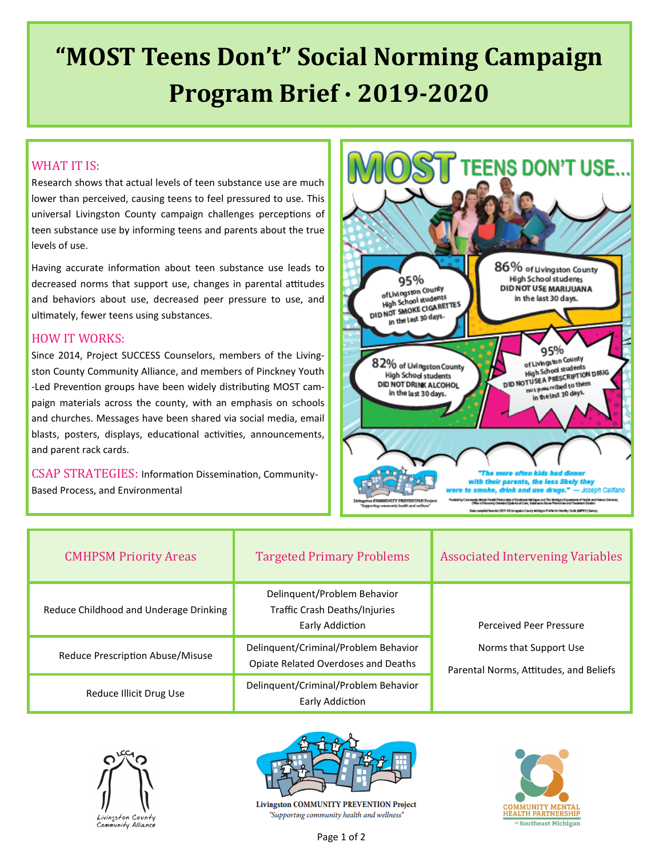# **"MOST Teens Don't" Social Norming Campaign Program Brief ∙ 2019-2020**

### WHAT IT IS:

Research shows that actual levels of teen substance use are much lower than perceived, causing teens to feel pressured to use. This universal Livingston County campaign challenges perceptions of teen substance use by informing teens and parents about the true levels of use.

Having accurate information about teen substance use leads to decreased norms that support use, changes in parental attitudes and behaviors about use, decreased peer pressure to use, and ultimately, fewer teens using substances.

### HOW IT WORKS:

Since 2014, Project SUCCESS Counselors, members of the Livingston County Community Alliance, and members of Pinckney Youth -Led Prevention groups have been widely distributing MOST campaign materials across the county, with an emphasis on schools and churches. Messages have been shared via social media, email blasts, posters, displays, educational activities, announcements, and parent rack cards.

CSAP STRATEGIES: Information Dissemination, Community-Based Process, and Environmental



| <b>CMHPSM Priority Areas</b>           | <b>Targeted Primary Problems</b>                                                | <b>Associated Intervening Variables</b>                          |
|----------------------------------------|---------------------------------------------------------------------------------|------------------------------------------------------------------|
| Reduce Childhood and Underage Drinking | Delinquent/Problem Behavior<br>Traffic Crash Deaths/Injuries<br>Early Addiction | Perceived Peer Pressure                                          |
| Reduce Prescription Abuse/Misuse       | Delinquent/Criminal/Problem Behavior<br>Opiate Related Overdoses and Deaths     | Norms that Support Use<br>Parental Norms, Attitudes, and Beliefs |
| Reduce Illicit Drug Use                | Delinquent/Criminal/Problem Behavior<br>Early Addiction                         |                                                                  |





**Livingston COMMUNITY PREVENTION Project** "Supporting community health and wellness"